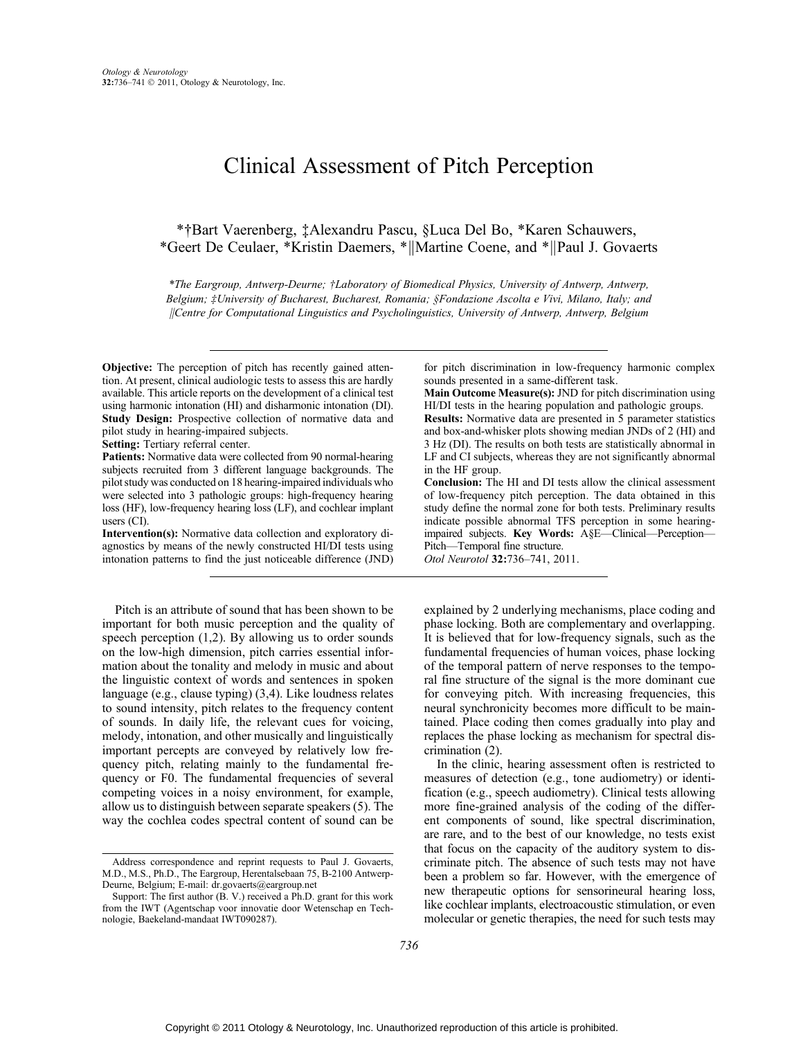# Clinical Assessment of Pitch Perception

## \*†Bart Vaerenberg, ‡Alexandru Pascu, §Luca Del Bo, \*Karen Schauwers, \*Geert De Ceulaer, \*Kristin Daemers, \* ||Martine Coene, and \* ||Paul J. Govaerts

\*The Eargroup, Antwerp-Deurne; ÞLaboratory of Biomedical Physics, University of Antwerp, Antwerp, Belgium; ‡University of Bucharest, Bucharest, Romania; §Fondazione Ascolta e Vivi, Milano, Italy; and kCentre for Computational Linguistics and Psycholinguistics, University of Antwerp, Antwerp, Belgium

Objective: The perception of pitch has recently gained attention. At present, clinical audiologic tests to assess this are hardly available. This article reports on the development of a clinical test using harmonic intonation (HI) and disharmonic intonation (DI). Study Design: Prospective collection of normative data and pilot study in hearing-impaired subjects.

Setting: Tertiary referral center.

Patients: Normative data were collected from 90 normal-hearing subjects recruited from 3 different language backgrounds. The pilot study was conducted on 18 hearing-impaired individuals who were selected into 3 pathologic groups: high-frequency hearing loss (HF), low-frequency hearing loss (LF), and cochlear implant users (CI).

Intervention(s): Normative data collection and exploratory diagnostics by means of the newly constructed HI/DI tests using intonation patterns to find the just noticeable difference (JND)

Pitch is an attribute of sound that has been shown to be important for both music perception and the quality of speech perception (1,2). By allowing us to order sounds on the low-high dimension, pitch carries essential information about the tonality and melody in music and about the linguistic context of words and sentences in spoken language (e.g., clause typing) (3,4). Like loudness relates to sound intensity, pitch relates to the frequency content of sounds. In daily life, the relevant cues for voicing, melody, intonation, and other musically and linguistically important percepts are conveyed by relatively low frequency pitch, relating mainly to the fundamental frequency or F0. The fundamental frequencies of several competing voices in a noisy environment, for example, allow us to distinguish between separate speakers (5). The way the cochlea codes spectral content of sound can be for pitch discrimination in low-frequency harmonic complex sounds presented in a same-different task.

Main Outcome Measure(s): JND for pitch discrimination using HI/DI tests in the hearing population and pathologic groups.

Results: Normative data are presented in 5 parameter statistics and box-and-whisker plots showing median JNDs of 2 (HI) and 3 Hz (DI). The results on both tests are statistically abnormal in LF and CI subjects, whereas they are not significantly abnormal in the HF group.

Conclusion: The HI and DI tests allow the clinical assessment of low-frequency pitch perception. The data obtained in this study define the normal zone for both tests. Preliminary results indicate possible abnormal TFS perception in some hearingimpaired subjects. Key Words: A§E-Clinical-Perception-Pitch-Temporal fine structure.

Otol Neurotol 32:736-741, 2011.

explained by 2 underlying mechanisms, place coding and phase locking. Both are complementary and overlapping. It is believed that for low-frequency signals, such as the fundamental frequencies of human voices, phase locking of the temporal pattern of nerve responses to the temporal fine structure of the signal is the more dominant cue for conveying pitch. With increasing frequencies, this neural synchronicity becomes more difficult to be maintained. Place coding then comes gradually into play and replaces the phase locking as mechanism for spectral discrimination (2).

In the clinic, hearing assessment often is restricted to measures of detection (e.g., tone audiometry) or identification (e.g., speech audiometry). Clinical tests allowing more fine-grained analysis of the coding of the different components of sound, like spectral discrimination, are rare, and to the best of our knowledge, no tests exist that focus on the capacity of the auditory system to discriminate pitch. The absence of such tests may not have been a problem so far. However, with the emergence of new therapeutic options for sensorineural hearing loss, like cochlear implants, electroacoustic stimulation, or even molecular or genetic therapies, the need for such tests may

Address correspondence and reprint requests to Paul J. Govaerts, M.D., M.S., Ph.D., The Eargroup, Herentalsebaan 75, B-2100 Antwerp-Deurne, Belgium; E-mail: dr.govaerts@eargroup.net

Support: The first author (B. V.) received a Ph.D. grant for this work from the IWT (Agentschap voor innovatie door Wetenschap en Technologie, Baekeland-mandaat IWT090287).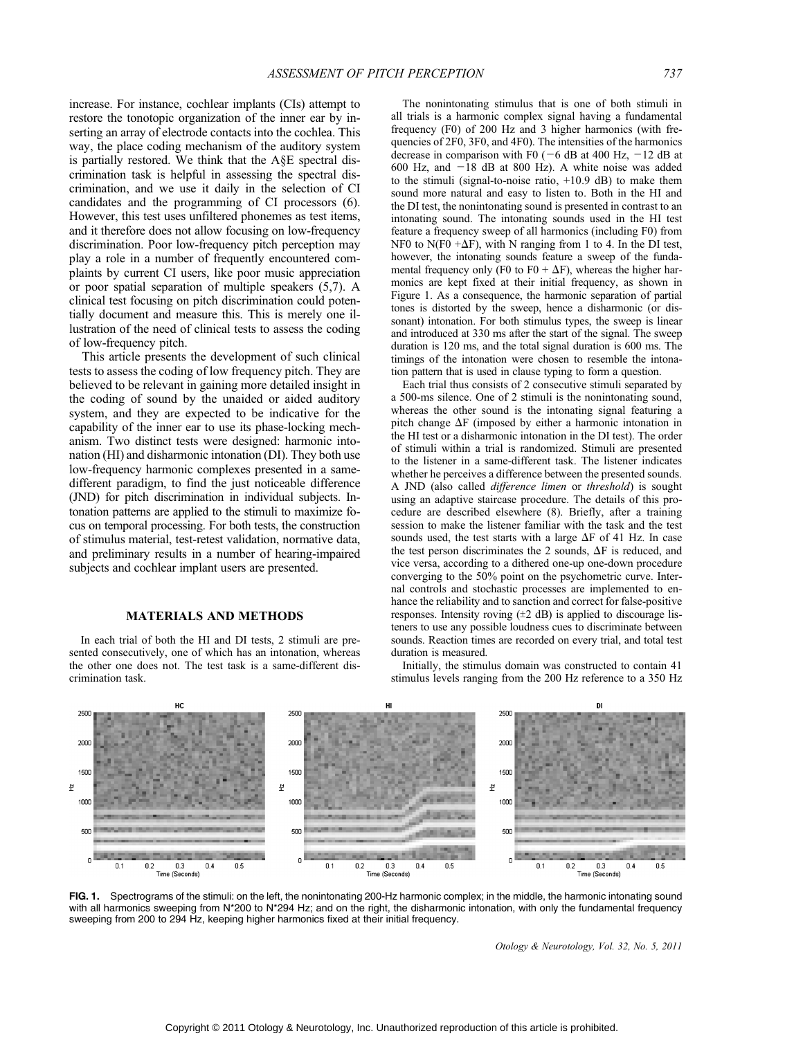increase. For instance, cochlear implants (CIs) attempt to restore the tonotopic organization of the inner ear by inserting an array of electrode contacts into the cochlea. This way, the place coding mechanism of the auditory system is partially restored. We think that the A§E spectral discrimination task is helpful in assessing the spectral discrimination, and we use it daily in the selection of CI candidates and the programming of CI processors (6). However, this test uses unfiltered phonemes as test items, and it therefore does not allow focusing on low-frequency discrimination. Poor low-frequency pitch perception may play a role in a number of frequently encountered complaints by current CI users, like poor music appreciation or poor spatial separation of multiple speakers (5,7). A clinical test focusing on pitch discrimination could potentially document and measure this. This is merely one illustration of the need of clinical tests to assess the coding of low-frequency pitch.

This article presents the development of such clinical tests to assess the coding of low frequency pitch. They are believed to be relevant in gaining more detailed insight in the coding of sound by the unaided or aided auditory system, and they are expected to be indicative for the capability of the inner ear to use its phase-locking mechanism. Two distinct tests were designed: harmonic intonation (HI) and disharmonic intonation (DI). They both use low-frequency harmonic complexes presented in a samedifferent paradigm, to find the just noticeable difference (JND) for pitch discrimination in individual subjects. Intonation patterns are applied to the stimuli to maximize focus on temporal processing. For both tests, the construction of stimulus material, test-retest validation, normative data, and preliminary results in a number of hearing-impaired subjects and cochlear implant users are presented.

### MATERIALS AND METHODS

In each trial of both the HI and DI tests, 2 stimuli are presented consecutively, one of which has an intonation, whereas the other one does not. The test task is a same-different discrimination task.

The nonintonating stimulus that is one of both stimuli in all trials is a harmonic complex signal having a fundamental frequency (F0) of 200 Hz and 3 higher harmonics (with frequencies of 2F0, 3F0, and 4F0). The intensities of the harmonics decrease in comparison with F0 ( $-6$  dB at 400 Hz,  $-12$  dB at 600 Hz, and  $-18$  dB at 800 Hz). A white noise was added to the stimuli (signal-to-noise ratio, +10.9 dB) to make them sound more natural and easy to listen to. Both in the HI and the DI test, the nonintonating sound is presented in contrast to an intonating sound. The intonating sounds used in the HI test feature a frequency sweep of all harmonics (including F0) from NF0 to N(F0 + $\Delta$ F), with N ranging from 1 to 4. In the DI test, however, the intonating sounds feature a sweep of the fundamental frequency only (F0 to F0 +  $\Delta$ F), whereas the higher harmonics are kept fixed at their initial frequency, as shown in Figure 1. As a consequence, the harmonic separation of partial tones is distorted by the sweep, hence a disharmonic (or dissonant) intonation. For both stimulus types, the sweep is linear and introduced at 330 ms after the start of the signal. The sweep duration is 120 ms, and the total signal duration is 600 ms. The timings of the intonation were chosen to resemble the intonation pattern that is used in clause typing to form a question.

Each trial thus consists of 2 consecutive stimuli separated by a 500-ms silence. One of 2 stimuli is the nonintonating sound, whereas the other sound is the intonating signal featuring a pitch change  $\Delta F$  (imposed by either a harmonic intonation in the HI test or a disharmonic intonation in the DI test). The order of stimuli within a trial is randomized. Stimuli are presented to the listener in a same-different task. The listener indicates whether he perceives a difference between the presented sounds. A JND (also called difference limen or threshold) is sought using an adaptive staircase procedure. The details of this procedure are described elsewhere (8). Briefly, after a training session to make the listener familiar with the task and the test sounds used, the test starts with a large  $\Delta F$  of 41 Hz. In case the test person discriminates the 2 sounds,  $\Delta F$  is reduced, and vice versa, according to a dithered one-up one-down procedure converging to the 50% point on the psychometric curve. Internal controls and stochastic processes are implemented to enhance the reliability and to sanction and correct for false-positive responses. Intensity roving  $(\pm 2 \text{ dB})$  is applied to discourage listeners to use any possible loudness cues to discriminate between sounds. Reaction times are recorded on every trial, and total test duration is measured.

Initially, the stimulus domain was constructed to contain 41 stimulus levels ranging from the 200 Hz reference to a 350 Hz



FIG. 1. Spectrograms of the stimuli: on the left, the nonintonating 200-Hz harmonic complex; in the middle, the harmonic intonating sound with all harmonics sweeping from N\*200 to N\*294 Hz; and on the right, the disharmonic intonation, with only the fundamental frequency sweeping from 200 to 294 Hz, keeping higher harmonics fixed at their initial frequency.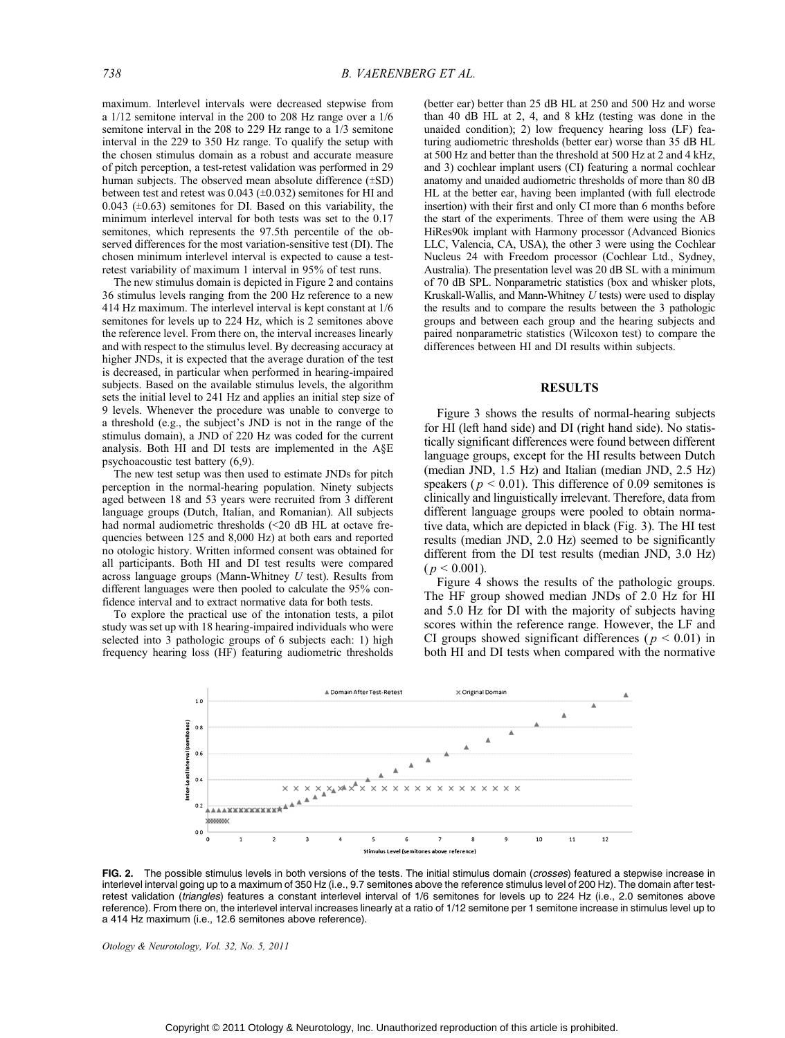maximum. Interlevel intervals were decreased stepwise from a 1/12 semitone interval in the 200 to 208 Hz range over a 1/6 semitone interval in the 208 to 229 Hz range to a 1/3 semitone interval in the 229 to 350 Hz range. To qualify the setup with the chosen stimulus domain as a robust and accurate measure of pitch perception, a test-retest validation was performed in 29 human subjects. The observed mean absolute difference  $(\pm SD)$ between test and retest was  $0.043$  ( $\pm 0.032$ ) semitones for HI and 0.043 ( $\pm$ 0.63) semitones for DI. Based on this variability, the minimum interlevel interval for both tests was set to the 0.17 semitones, which represents the 97.5th percentile of the observed differences for the most variation-sensitive test (DI). The chosen minimum interlevel interval is expected to cause a testretest variability of maximum 1 interval in 95% of test runs.

The new stimulus domain is depicted in Figure 2 and contains 36 stimulus levels ranging from the 200 Hz reference to a new 414 Hz maximum. The interlevel interval is kept constant at 1/6 semitones for levels up to 224 Hz, which is 2 semitones above the reference level. From there on, the interval increases linearly and with respect to the stimulus level. By decreasing accuracy at higher JNDs, it is expected that the average duration of the test is decreased, in particular when performed in hearing-impaired subjects. Based on the available stimulus levels, the algorithm sets the initial level to 241 Hz and applies an initial step size of 9 levels. Whenever the procedure was unable to converge to a threshold (e.g., the subject's JND is not in the range of the stimulus domain), a JND of 220 Hz was coded for the current analysis. Both HI and DI tests are implemented in the A§E psychoacoustic test battery (6,9).

The new test setup was then used to estimate JNDs for pitch perception in the normal-hearing population. Ninety subjects aged between 18 and 53 years were recruited from 3 different language groups (Dutch, Italian, and Romanian). All subjects had normal audiometric thresholds  $(<20$  dB HL at octave frequencies between 125 and 8,000 Hz) at both ears and reported no otologic history. Written informed consent was obtained for all participants. Both HI and DI test results were compared across language groups (Mann-Whitney  $U$  test). Results from different languages were then pooled to calculate the 95% confidence interval and to extract normative data for both tests.

To explore the practical use of the intonation tests, a pilot study was set up with 18 hearing-impaired individuals who were selected into 3 pathologic groups of 6 subjects each: 1) high frequency hearing loss (HF) featuring audiometric thresholds

(better ear) better than 25 dB HL at 250 and 500 Hz and worse than 40 dB HL at 2, 4, and 8 kHz (testing was done in the unaided condition); 2) low frequency hearing loss (LF) featuring audiometric thresholds (better ear) worse than 35 dB HL at 500 Hz and better than the threshold at 500 Hz at 2 and 4 kHz, and 3) cochlear implant users (CI) featuring a normal cochlear anatomy and unaided audiometric thresholds of more than 80 dB HL at the better ear, having been implanted (with full electrode insertion) with their first and only CI more than 6 months before the start of the experiments. Three of them were using the AB HiRes90k implant with Harmony processor (Advanced Bionics LLC, Valencia, CA, USA), the other 3 were using the Cochlear Nucleus 24 with Freedom processor (Cochlear Ltd., Sydney, Australia). The presentation level was 20 dB SL with a minimum of 70 dB SPL. Nonparametric statistics (box and whisker plots, Kruskall-Wallis, and Mann-Whitney  $U$  tests) were used to display the results and to compare the results between the 3 pathologic groups and between each group and the hearing subjects and paired nonparametric statistics (Wilcoxon test) to compare the differences between HI and DI results within subjects.

#### RESULTS

Figure 3 shows the results of normal-hearing subjects for HI (left hand side) and DI (right hand side). No statistically significant differences were found between different language groups, except for the HI results between Dutch (median JND, 1.5 Hz) and Italian (median JND, 2.5 Hz) speakers ( $p < 0.01$ ). This difference of 0.09 semitones is clinically and linguistically irrelevant. Therefore, data from different language groups were pooled to obtain normative data, which are depicted in black (Fig. 3). The HI test results (median JND, 2.0 Hz) seemed to be significantly different from the DI test results (median JND, 3.0 Hz)  $(p < 0.001)$ .

Figure 4 shows the results of the pathologic groups. The HF group showed median JNDs of 2.0 Hz for HI and 5.0 Hz for DI with the majority of subjects having scores within the reference range. However, the LF and CI groups showed significant differences ( $p < 0.01$ ) in both HI and DI tests when compared with the normative



FIG. 2. The possible stimulus levels in both versions of the tests. The initial stimulus domain (crosses) featured a stepwise increase in interlevel interval going up to a maximum of 350 Hz (i.e., 9.7 semitones above the reference stimulus level of 200 Hz). The domain after testretest validation (triangles) features a constant interlevel interval of 1/6 semitones for levels up to 224 Hz (i.e., 2.0 semitones above reference). From there on, the interlevel interval increases linearly at a ratio of 1/12 semitone per 1 semitone increase in stimulus level up to a 414 Hz maximum (i.e., 12.6 semitones above reference).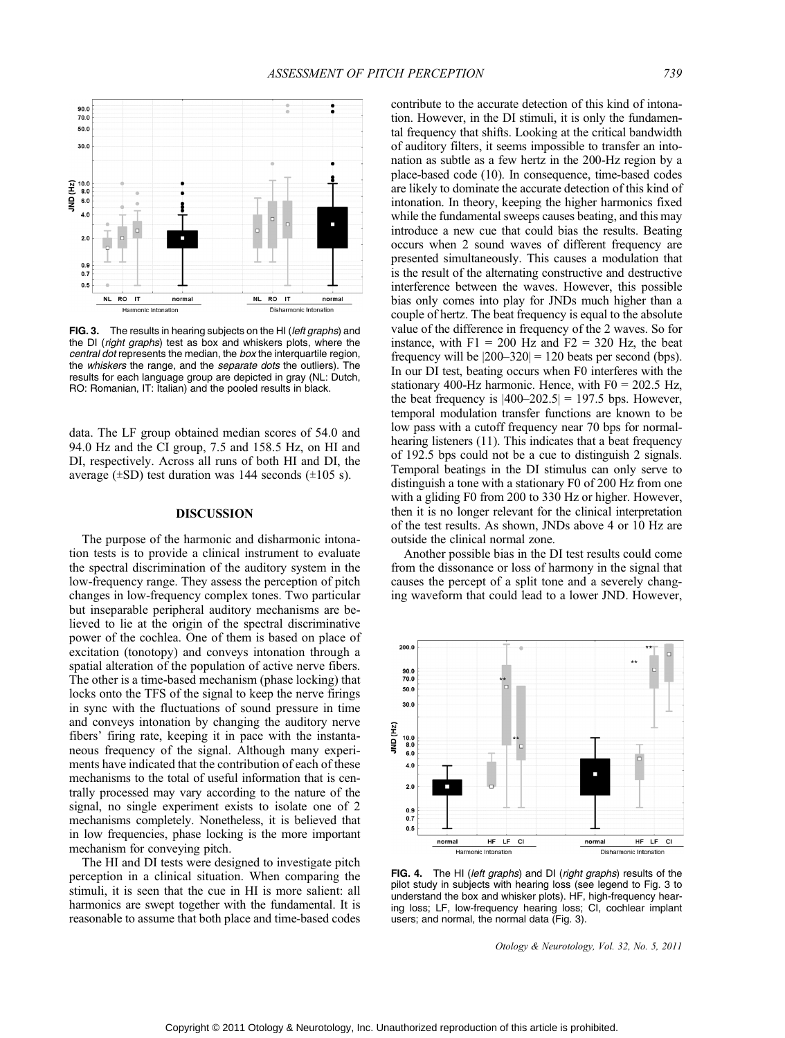

FIG. 3. The results in hearing subjects on the HI (left graphs) and the DI (right graphs) test as box and whiskers plots, where the central dot represents the median, the box the interquartile region, the whiskers the range, and the separate dots the outliers). The results for each language group are depicted in gray (NL: Dutch, RO: Romanian, IT: Italian) and the pooled results in black.

data. The LF group obtained median scores of 54.0 and 94.0 Hz and the CI group, 7.5 and 158.5 Hz, on HI and DI, respectively. Across all runs of both HI and DI, the average  $(\pm SD)$  test duration was 144 seconds  $(\pm 105 \text{ s})$ .

#### DISCUSSION

The purpose of the harmonic and disharmonic intonation tests is to provide a clinical instrument to evaluate the spectral discrimination of the auditory system in the low-frequency range. They assess the perception of pitch changes in low-frequency complex tones. Two particular but inseparable peripheral auditory mechanisms are believed to lie at the origin of the spectral discriminative power of the cochlea. One of them is based on place of excitation (tonotopy) and conveys intonation through a spatial alteration of the population of active nerve fibers. The other is a time-based mechanism (phase locking) that locks onto the TFS of the signal to keep the nerve firings in sync with the fluctuations of sound pressure in time and conveys intonation by changing the auditory nerve fibers' firing rate, keeping it in pace with the instantaneous frequency of the signal. Although many experiments have indicated that the contribution of each of these mechanisms to the total of useful information that is centrally processed may vary according to the nature of the signal, no single experiment exists to isolate one of 2 mechanisms completely. Nonetheless, it is believed that in low frequencies, phase locking is the more important mechanism for conveying pitch.

The HI and DI tests were designed to investigate pitch perception in a clinical situation. When comparing the stimuli, it is seen that the cue in HI is more salient: all harmonics are swept together with the fundamental. It is reasonable to assume that both place and time-based codes

contribute to the accurate detection of this kind of intonation. However, in the DI stimuli, it is only the fundamental frequency that shifts. Looking at the critical bandwidth of auditory filters, it seems impossible to transfer an intonation as subtle as a few hertz in the 200-Hz region by a place-based code (10). In consequence, time-based codes are likely to dominate the accurate detection of this kind of intonation. In theory, keeping the higher harmonics fixed while the fundamental sweeps causes beating, and this may introduce a new cue that could bias the results. Beating occurs when 2 sound waves of different frequency are presented simultaneously. This causes a modulation that is the result of the alternating constructive and destructive interference between the waves. However, this possible bias only comes into play for JNDs much higher than a couple of hertz. The beat frequency is equal to the absolute value of the difference in frequency of the 2 waves. So for instance, with  $F1 = 200$  Hz and  $F2 = 320$  Hz, the beat frequency will be  $|200-320| = 120$  beats per second (bps). In our DI test, beating occurs when F0 interferes with the stationary 400-Hz harmonic. Hence, with  $F0 = 202.5$  Hz, the beat frequency is  $|400-202.5| = 197.5$  bps. However, temporal modulation transfer functions are known to be low pass with a cutoff frequency near 70 bps for normalhearing listeners (11). This indicates that a beat frequency of 192.5 bps could not be a cue to distinguish 2 signals. Temporal beatings in the DI stimulus can only serve to distinguish a tone with a stationary F0 of 200 Hz from one with a gliding F0 from 200 to 330 Hz or higher. However, then it is no longer relevant for the clinical interpretation of the test results. As shown, JNDs above 4 or 10 Hz are outside the clinical normal zone.

Another possible bias in the DI test results could come from the dissonance or loss of harmony in the signal that causes the percept of a split tone and a severely changing waveform that could lead to a lower JND. However,



FIG. 4. The HI (left graphs) and DI (right graphs) results of the pilot study in subjects with hearing loss (see legend to Fig. 3 to understand the box and whisker plots). HF, high-frequency hearing loss; LF, low-frequency hearing loss; CI, cochlear implant users; and normal, the normal data (Fig. 3).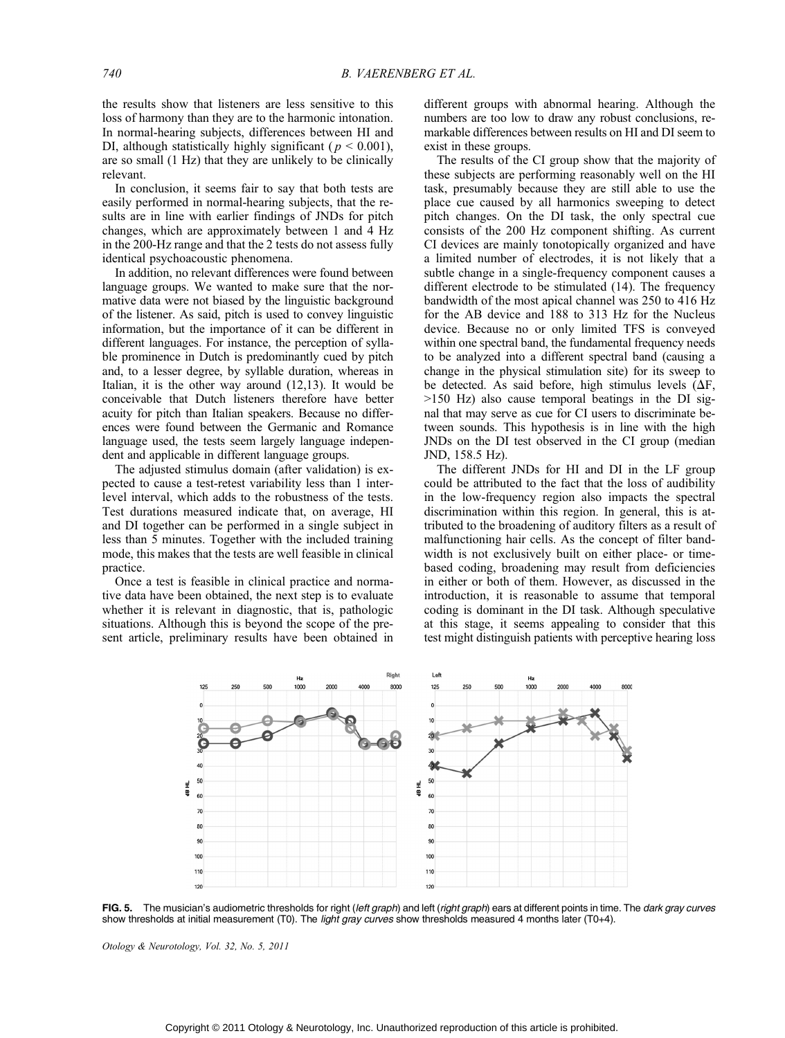the results show that listeners are less sensitive to this loss of harmony than they are to the harmonic intonation. In normal-hearing subjects, differences between HI and DI, although statistically highly significant ( $p < 0.001$ ), are so small (1 Hz) that they are unlikely to be clinically relevant.

In conclusion, it seems fair to say that both tests are easily performed in normal-hearing subjects, that the results are in line with earlier findings of JNDs for pitch changes, which are approximately between 1 and 4 Hz in the 200-Hz range and that the 2 tests do not assess fully identical psychoacoustic phenomena.

In addition, no relevant differences were found between language groups. We wanted to make sure that the normative data were not biased by the linguistic background of the listener. As said, pitch is used to convey linguistic information, but the importance of it can be different in different languages. For instance, the perception of syllable prominence in Dutch is predominantly cued by pitch and, to a lesser degree, by syllable duration, whereas in Italian, it is the other way around (12,13). It would be conceivable that Dutch listeners therefore have better acuity for pitch than Italian speakers. Because no differences were found between the Germanic and Romance language used, the tests seem largely language independent and applicable in different language groups.

The adjusted stimulus domain (after validation) is expected to cause a test-retest variability less than 1 interlevel interval, which adds to the robustness of the tests. Test durations measured indicate that, on average, HI and DI together can be performed in a single subject in less than 5 minutes. Together with the included training mode, this makes that the tests are well feasible in clinical practice.

Once a test is feasible in clinical practice and normative data have been obtained, the next step is to evaluate whether it is relevant in diagnostic, that is, pathologic situations. Although this is beyond the scope of the present article, preliminary results have been obtained in

different groups with abnormal hearing. Although the numbers are too low to draw any robust conclusions, remarkable differences between results on HI and DI seem to exist in these groups.

The results of the CI group show that the majority of these subjects are performing reasonably well on the HI task, presumably because they are still able to use the place cue caused by all harmonics sweeping to detect pitch changes. On the DI task, the only spectral cue consists of the 200 Hz component shifting. As current CI devices are mainly tonotopically organized and have a limited number of electrodes, it is not likely that a subtle change in a single-frequency component causes a different electrode to be stimulated (14). The frequency bandwidth of the most apical channel was 250 to 416 Hz for the AB device and 188 to 313 Hz for the Nucleus device. Because no or only limited TFS is conveyed within one spectral band, the fundamental frequency needs to be analyzed into a different spectral band (causing a change in the physical stimulation site) for its sweep to be detected. As said before, high stimulus levels  $(\Delta F,$  $>150$  Hz) also cause temporal beatings in the DI signal that may serve as cue for CI users to discriminate between sounds. This hypothesis is in line with the high JNDs on the DI test observed in the CI group (median JND, 158.5 Hz).

The different JNDs for HI and DI in the LF group could be attributed to the fact that the loss of audibility in the low-frequency region also impacts the spectral discrimination within this region. In general, this is attributed to the broadening of auditory filters as a result of malfunctioning hair cells. As the concept of filter bandwidth is not exclusively built on either place- or timebased coding, broadening may result from deficiencies in either or both of them. However, as discussed in the introduction, it is reasonable to assume that temporal coding is dominant in the DI task. Although speculative at this stage, it seems appealing to consider that this test might distinguish patients with perceptive hearing loss



FIG. 5. The musician's audiometric thresholds for right (left graph) and left (right graph) ears at different points in time. The dark gray curves show thresholds at initial measurement (T0). The light gray curves show thresholds measured 4 months later (T0+4).